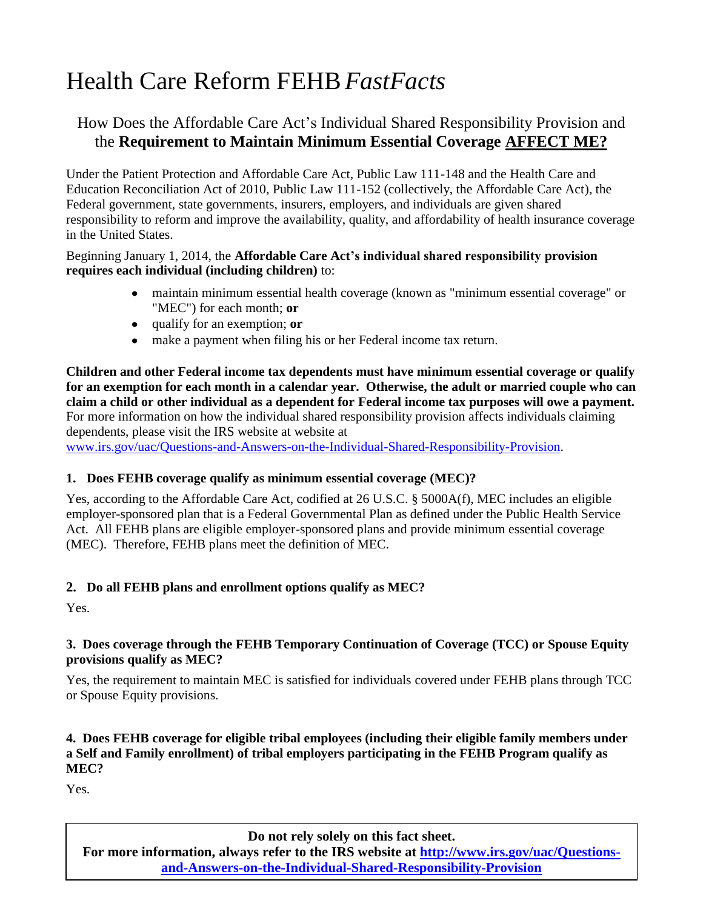# Health Care Reform FEHB*FastFacts*

# How Does the Affordable Care Act's Individual Shared Responsibility Provision and the **Requirement to Maintain Minimum Essential Coverage AFFECT ME?**

Under the Patient Protection and Affordable Care Act, Public Law 111-148 and the Health Care and Education Reconciliation Act of 2010, Public Law 111-152 (collectively, the Affordable Care Act), the Federal government, state governments, insurers, employers, and individuals are given shared responsibility to reform and improve the availability, quality, and affordability of health insurance coverage in the United States.

#### Beginning January 1, 2014, the **Affordable Care Act's individual shared responsibility provision requires each individual (including children)** to:

- maintain minimum essential health coverage (known as "minimum essential coverage" or  $\bullet$ "MEC") for each month; **or**
- qualify for an exemption; **or**
- make a payment when filing his or her Federal income tax return.

**Children and other Federal income tax dependents must have minimum essential coverage or qualify for an exemption for each month in a calendar year. Otherwise, the adult or married couple who can claim a child or other individual as a dependent for Federal income tax purposes will owe a payment.**  For more information on how the individual shared responsibility provision affects individuals claiming dependents, please visit the IRS website at website at

[www.irs.gov/uac/Questions-and-Answers-on-the-Individual-Shared-Responsibility-Provision.](http://www.irs.gov/uac/Questions-and-Answers-on-the-Individual-Shared-Responsibility-Provision)

## **1. Does FEHB coverage qualify as minimum essential coverage (MEC)?**

Yes, according to the Affordable Care Act, codified at 26 U.S.C. § 5000A(f), MEC includes an eligible employer-sponsored plan that is a Federal Governmental Plan as defined under the Public Health Service Act. All FEHB plans are eligible employer-sponsored plans and provide minimum essential coverage (MEC). Therefore, FEHB plans meet the definition of MEC.

# **2. Do all FEHB plans and enrollment options qualify as MEC?**

Yes.

#### **3. Does coverage through the FEHB Temporary Continuation of Coverage (TCC) or Spouse Equity provisions qualify as MEC?**

Yes, the requirement to maintain MEC is satisfied for individuals covered under FEHB plans through TCC or Spouse Equity provisions.

#### **4. Does FEHB coverage for eligible tribal employees (including their eligible family members under a Self and Family enrollment) of tribal employers participating in the FEHB Program qualify as MEC?**

Yes.

**Do not rely solely on this fact sheet.** 

**For more information, always refer to the IRS website at [http://www.irs.gov/uac/Questions](http://www.irs.gov/uac/Questions-and-Answers-on-the-Individual-Shared-Responsibility-Provision)[and-Answers-on-the-Individual-Shared-Responsibility-Provision](http://www.irs.gov/uac/Questions-and-Answers-on-the-Individual-Shared-Responsibility-Provision)**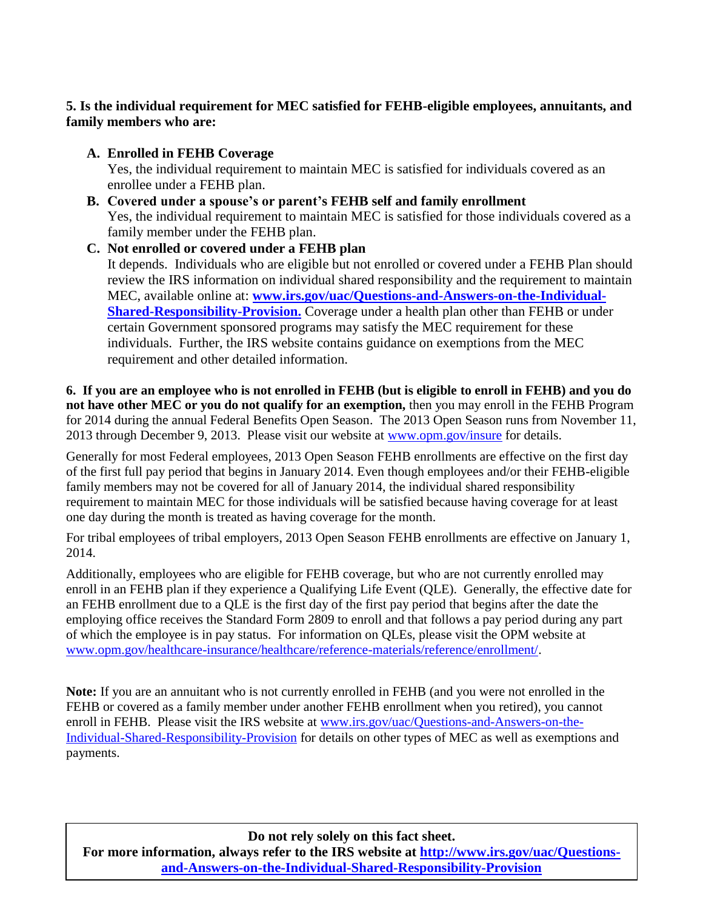# **5. Is the individual requirement for MEC satisfied for FEHB-eligible employees, annuitants, and family members who are:**

**A. Enrolled in FEHB Coverage**

Yes, the individual requirement to maintain MEC is satisfied for individuals covered as an enrollee under a FEHB plan.

**B. Covered under a spouse's or parent's FEHB self and family enrollment** Yes, the individual requirement to maintain MEC is satisfied for those individuals covered as a family member under the FEHB plan.

## **C. Not enrolled or covered under a FEHB plan** It depends. Individuals who are eligible but not enrolled or covered under a FEHB Plan should review the IRS information on individual shared responsibility and the requirement to maintain MEC, available online at: **[www.irs.gov/uac/Questions-and-Answers-on-the-Individual-](http://www.irs.gov/uac/Questions-and-Answers-on-the-Individual-Shared-Responsibility-Provision)[Shared-Responsibility-Provision.](http://www.irs.gov/uac/Questions-and-Answers-on-the-Individual-Shared-Responsibility-Provision)** Coverage under a health plan other than FEHB or under certain Government sponsored programs may satisfy the MEC requirement for these individuals. Further, the IRS website contains guidance on exemptions from the MEC requirement and other detailed information.

**6. If you are an employee who is not enrolled in FEHB (but is eligible to enroll in FEHB) and you do not have other MEC or you do not qualify for an exemption,** then you may enroll in the FEHB Program for 2014 during the annual Federal Benefits Open Season. The 2013 Open Season runs from November 11, 2013 through December 9, 2013. Please visit our website at [www.opm.gov/insure](http://www.opm.gov/insure) for details.

Generally for most Federal employees, 2013 Open Season FEHB enrollments are effective on the first day of the first full pay period that begins in January 2014. Even though employees and/or their FEHB-eligible family members may not be covered for all of January 2014, the individual shared responsibility requirement to maintain MEC for those individuals will be satisfied because having coverage for at least one day during the month is treated as having coverage for the month.

For tribal employees of tribal employers, 2013 Open Season FEHB enrollments are effective on January 1, 2014.

Additionally, employees who are eligible for FEHB coverage, but who are not currently enrolled may enroll in an FEHB plan if they experience a Qualifying Life Event (QLE). Generally, the effective date for an FEHB enrollment due to a QLE is the first day of the first pay period that begins after the date the employing office receives the Standard Form 2809 to enroll and that follows a pay period during any part of which the employee is in pay status. For information on QLEs, please visit the OPM website at [www.opm.gov/healthcare-insurance/healthcare/reference-materials/reference/enrollment/.](http://www.opm.gov/healthcare-insurance/healthcare/reference-materials/reference/enrollment/)

**Note:** If you are an annuitant who is not currently enrolled in FEHB (and you were not enrolled in the FEHB or covered as a family member under another FEHB enrollment when you retired), you cannot enroll in FEHB. Please visit the IRS website at [www.irs.gov/uac/Questions-and-Answers-on-the-](http://www.irs.gov/uac/Questions-and-Answers-on-the-Individual-Shared-Responsibility-Provision)[Individual-Shared-Responsibility-Provision](http://www.irs.gov/uac/Questions-and-Answers-on-the-Individual-Shared-Responsibility-Provision) for details on other types of MEC as well as exemptions and payments.

**Do not rely solely on this fact sheet.** 

**For more information, always refer to the IRS website at [http://www.irs.gov/uac/Questions](http://www.irs.gov/uac/Questions-and-Answers-on-the-Individual-Shared-Responsibility-Provision)[and-Answers-on-the-Individual-Shared-Responsibility-Provision](http://www.irs.gov/uac/Questions-and-Answers-on-the-Individual-Shared-Responsibility-Provision)**